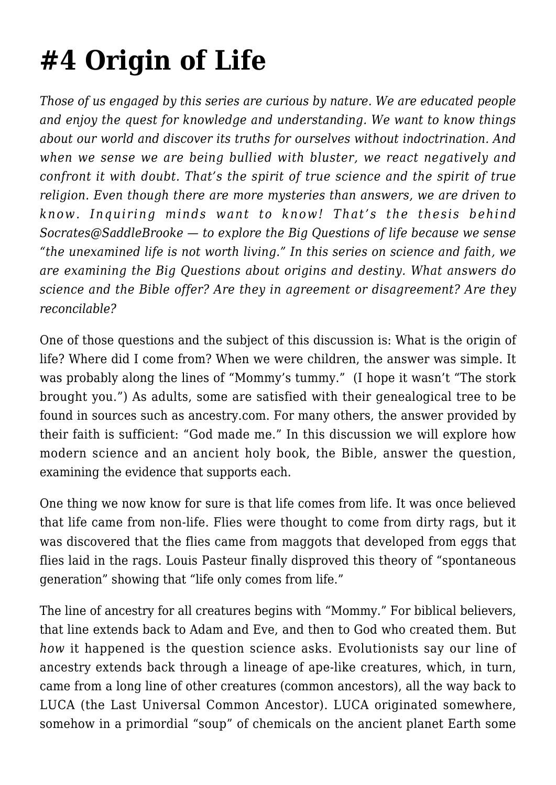## **[#4 Origin of Life](https://socratesatsaddlebrooke.club/topics/origin-of-life/)**

*Those of us engaged by this series are curious by nature. We are educated people and enjoy the quest for knowledge and understanding. We want to know things about our world and discover its truths for ourselves without indoctrination. And when we sense we are being bullied with bluster, we react negatively and confront it with doubt. That's the spirit of true science and the spirit of true religion. Even though there are more mysteries than answers, we are driven to know. Inquiring minds want to know! That's the thesis behind Socrates@SaddleBrooke — to explore the Big Questions of life because we sense "the unexamined life is not worth living." In this series on science and faith, we are examining the Big Questions about origins and destiny. What answers do science and the Bible offer? Are they in agreement or disagreement? Are they reconcilable?*

One of those questions and the subject of this discussion is: What is the origin of life? Where did I come from? When we were children, the answer was simple. It was probably along the lines of "Mommy's tummy." (I hope it wasn't "The stork brought you.") As adults, some are satisfied with their genealogical tree to be found in sources such as ancestry.com. For many others, the answer provided by their faith is sufficient: "God made me." In this discussion we will explore how modern science and an ancient holy book, the Bible, answer the question, examining the evidence that supports each.

One thing we now know for sure is that life comes from life. It was once believed that life came from non-life. Flies were thought to come from dirty rags, but it was discovered that the flies came from maggots that developed from eggs that flies laid in the rags. Louis Pasteur finally disproved this theory of "spontaneous generation" showing that "life only comes from life."

The line of ancestry for all creatures begins with "Mommy." For biblical believers, that line extends back to Adam and Eve, and then to God who created them. But *how* it happened is the question science asks. Evolutionists say our line of ancestry extends back through a lineage of ape-like creatures, which, in turn, came from a long line of other creatures (common ancestors), all the way back to LUCA (the Last Universal Common Ancestor). LUCA originated somewhere, somehow in a primordial "soup" of chemicals on the ancient planet Earth some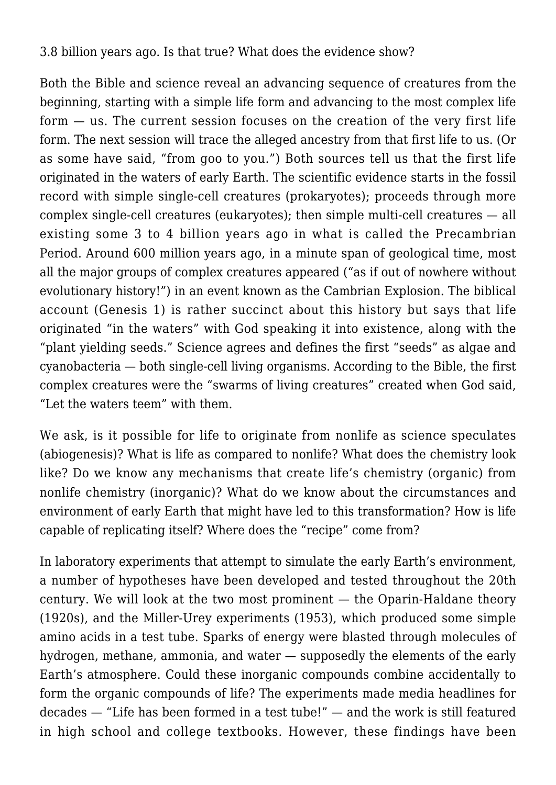3.8 billion years ago. Is that true? What does the evidence show?

Both the Bible and science reveal an advancing sequence of creatures from the beginning, starting with a simple life form and advancing to the most complex life form — us. The current session focuses on the creation of the very first life form. The next session will trace the alleged ancestry from that first life to us. (Or as some have said, "from goo to you.") Both sources tell us that the first life originated in the waters of early Earth. The scientific evidence starts in the fossil record with simple single-cell creatures (prokaryotes); proceeds through more complex single-cell creatures (eukaryotes); then simple multi-cell creatures — all existing some 3 to 4 billion years ago in what is called the Precambrian Period. Around 600 million years ago, in a minute span of geological time, most all the major groups of complex creatures appeared ("as if out of nowhere without evolutionary history!") in an event known as the Cambrian Explosion. The biblical account (Genesis 1) is rather succinct about this history but says that life originated "in the waters" with God speaking it into existence, along with the "plant yielding seeds." Science agrees and defines the first "seeds" as algae and cyanobacteria — both single-cell living organisms. According to the Bible, the first complex creatures were the "swarms of living creatures" created when God said, "Let the waters teem" with them.

We ask, is it possible for life to originate from nonlife as science speculates (abiogenesis)? What is life as compared to nonlife? What does the chemistry look like? Do we know any mechanisms that create life's chemistry (organic) from nonlife chemistry (inorganic)? What do we know about the circumstances and environment of early Earth that might have led to this transformation? How is life capable of replicating itself? Where does the "recipe" come from?

In laboratory experiments that attempt to simulate the early Earth's environment, a number of hypotheses have been developed and tested throughout the 20th century. We will look at the two most prominent — the Oparin-Haldane theory (1920s), and the Miller-Urey experiments (1953), which produced some simple amino acids in a test tube. Sparks of energy were blasted through molecules of hydrogen, methane, ammonia, and water — supposedly the elements of the early Earth's atmosphere. Could these inorganic compounds combine accidentally to form the organic compounds of life? The experiments made media headlines for decades — "Life has been formed in a test tube!" — and the work is still featured in high school and college textbooks. However, these findings have been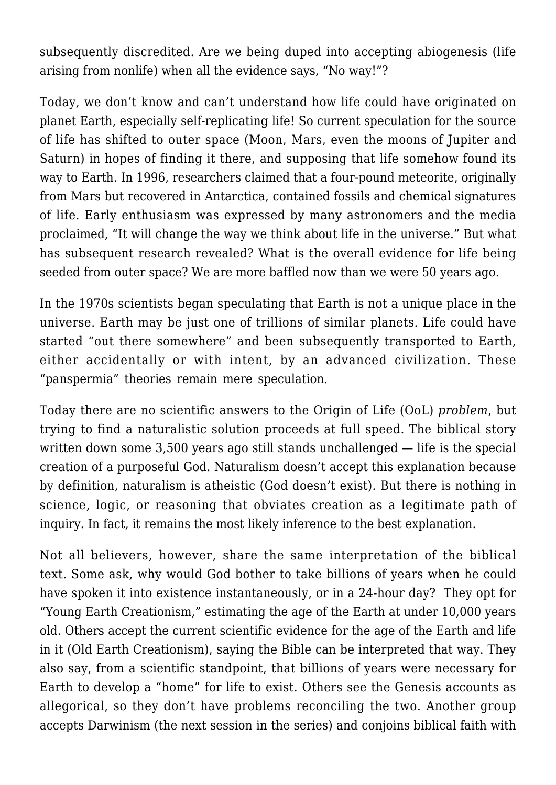subsequently discredited. Are we being duped into accepting abiogenesis (life arising from nonlife) when all the evidence says, "No way!"?

Today, we don't know and can't understand how life could have originated on planet Earth, especially self-replicating life! So current speculation for the source of life has shifted to outer space (Moon, Mars, even the moons of Jupiter and Saturn) in hopes of finding it there, and supposing that life somehow found its way to Earth. In 1996, researchers claimed that a four-pound meteorite, originally from Mars but recovered in Antarctica, contained fossils and chemical signatures of life. Early enthusiasm was expressed by many astronomers and the media proclaimed, "It will change the way we think about life in the universe." But what has subsequent research revealed? What is the overall evidence for life being seeded from outer space? We are more baffled now than we were 50 years ago.

In the 1970s scientists began speculating that Earth is not a unique place in the universe. Earth may be just one of trillions of similar planets. Life could have started "out there somewhere" and been subsequently transported to Earth, either accidentally or with intent, by an advanced civilization. These "panspermia" theories remain mere speculation.

Today there are no scientific answers to the Origin of Life (OoL) *problem*, but trying to find a naturalistic solution proceeds at full speed. The biblical story written down some 3,500 years ago still stands unchallenged — life is the special creation of a purposeful God. Naturalism doesn't accept this explanation because by definition, naturalism is atheistic (God doesn't exist). But there is nothing in science, logic, or reasoning that obviates creation as a legitimate path of inquiry. In fact, it remains the most likely inference to the best explanation.

Not all believers, however, share the same interpretation of the biblical text. Some ask, why would God bother to take billions of years when he could have spoken it into existence instantaneously, or in a 24-hour day? They opt for "Young Earth Creationism," estimating the age of the Earth at under 10,000 years old. Others accept the current scientific evidence for the age of the Earth and life in it (Old Earth Creationism), saying the Bible can be interpreted that way. They also say, from a scientific standpoint, that billions of years were necessary for Earth to develop a "home" for life to exist. Others see the Genesis accounts as allegorical, so they don't have problems reconciling the two. Another group accepts Darwinism (the next session in the series) and conjoins biblical faith with